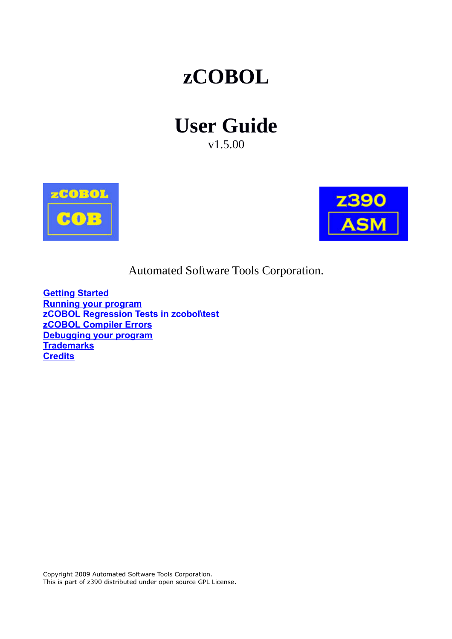# **zCOBOL**

# **User Guide**

v1.5.00





Automated Software Tools Corporation.

**[Getting Started](#page-1-0) [Running your program](#page-1-1) [zCOBOL Regression Tests in zcobol\test](#page-2-1) [zCOBOL Compiler Errors](#page-2-0) [Debugging your program](#page-3-2) [Trademarks](#page-3-1) [Credits](#page-3-0)**

Copyright 2009 Automated Software Tools Corporation. This is part of z390 distributed under open source GPL License.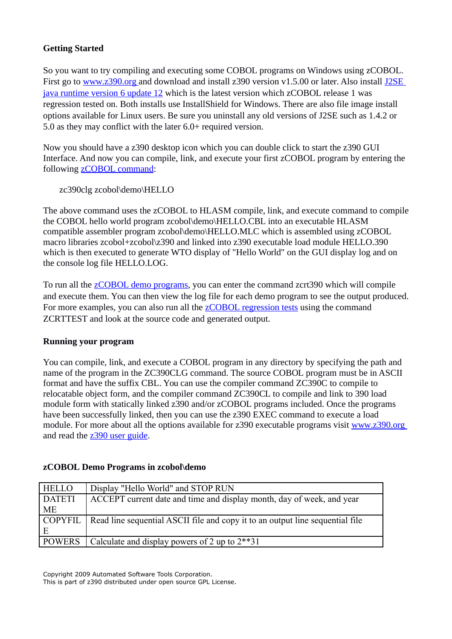# <span id="page-1-0"></span>**Getting Started**

So you want to try compiling and executing some COBOL programs on Windows using zCOBOL. First go to [www.z390.org a](http://www.z390.org/)nd download and install z390 version v1.5.00 or later. Also install [J2SE](http://java.sun.com/javase/downloads/index.jsp) [java runtime version 6 update 12](http://java.sun.com/javase/downloads/index.jsp) which is the latest version which zCOBOL release 1 was regression tested on. Both installs use InstallShield for Windows. There are also file image install options available for Linux users. Be sure you uninstall any old versions of J2SE such as 1.4.2 or 5.0 as they may conflict with the later 6.0+ required version.

Now you should have a z390 desktop icon which you can double click to start the z390 GUI Interface. And now you can compile, link, and execute your first zCOBOL program by entering the following [zCOBOL command:](#page-1-5)

```
zc390clg zcobol\demo\HELLO
```
The above command uses the zCOBOL to HLASM compile, link, and execute command to compile the COBOL hello world program zcobol\demo\HELLO.CBL into an executable HLASM compatible assembler program zcobol\demo\HELLO.MLC which is assembled using zCOBOL macro libraries zcobol+zcobol\z390 and linked into z390 executable load module HELLO.390 which is then executed to generate WTO display of "Hello World" on the GUI display log and on the console log file HELLO.LOG.

<span id="page-1-4"></span><span id="page-1-3"></span><span id="page-1-2"></span>To run all the **zCOBOL** demo programs, you can enter the command zcrt390 which will compile and execute them. You can then view the log file for each demo program to see the output produced. For more examples, you can also run all the **zCOBOL** [regression tests](#page-1-2) using the command ZCRTTEST and look at the source code and generated output.

# <span id="page-1-1"></span>**Running your program**

You can compile, link, and execute a COBOL program in any directory by specifying the path and name of the program in the ZC390CLG command. The source COBOL program must be in ASCII format and have the suffix CBL. You can use the compiler command ZC390C to compile to relocatable object form, and the compiler command ZC390CL to compile and link to 390 load module form with statically linked z390 and/or zCOBOL programs included. Once the programs have been successfully linked, then you can use the z390 EXEC command to execute a load module. For more about all the options available for z390 executable programs visit [www.z390.org](http://www.z390.org/) and read the [z390 user guide.](http://www.z390.org/z390_User_Guide.pdf)

# **zCOBOL Demo Programs in zcobol\demo**

| <b>HELLO</b>  | Display "Hello World" and STOP RUN                                                      |
|---------------|-----------------------------------------------------------------------------------------|
| <b>DATETI</b> | ACCEPT current date and time and display month, day of week, and year                   |
| ME            |                                                                                         |
|               | COPYFIL   Read line sequential ASCII file and copy it to an output line sequential file |
|               |                                                                                         |
| <b>POWERS</b> | Calculate and display powers of 2 up to $2**31$                                         |

Copyright 2009 Automated Software Tools Corporation.

This is part of z390 distributed under open source GPL License.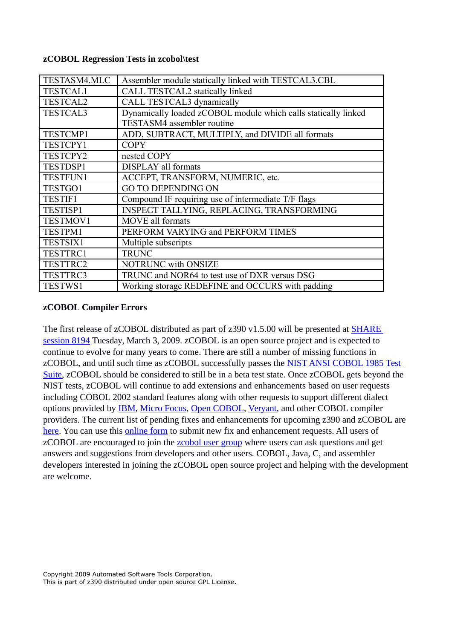| TESTASM4.MLC    | Assembler module statically linked with TESTCAL3.CBL           |
|-----------------|----------------------------------------------------------------|
| <b>TESTCAL1</b> | CALL TESTCAL2 statically linked                                |
| <b>TESTCAL2</b> | CALL TESTCAL3 dynamically                                      |
| <b>TESTCAL3</b> | Dynamically loaded zCOBOL module which calls statically linked |
|                 | <b>TESTASM4</b> assembler routine                              |
| <b>TESTCMP1</b> | ADD, SUBTRACT, MULTIPLY, and DIVIDE all formats                |
| <b>TESTCPY1</b> | <b>COPY</b>                                                    |
| <b>TESTCPY2</b> | nested COPY                                                    |
| <b>TESTDSP1</b> | <b>DISPLAY</b> all formats                                     |
| <b>TESTFUN1</b> | ACCEPT, TRANSFORM, NUMERIC, etc.                               |
| TESTGO1         | <b>GO TO DEPENDING ON</b>                                      |
| <b>TESTIF1</b>  | Compound IF requiring use of intermediate T/F flags            |
| <b>TESTISP1</b> | INSPECT TALLYING, REPLACING, TRANSFORMING                      |
| <b>TESTMOV1</b> | <b>MOVE</b> all formats                                        |
| <b>TESTPM1</b>  | PERFORM VARYING and PERFORM TIMES                              |
| <b>TESTSIX1</b> | Multiple subscripts                                            |
| TESTTRC1        | <b>TRUNC</b>                                                   |
| TESTTRC2        | NOTRUNC with ONSIZE                                            |
| TESTTRC3        | TRUNC and NOR64 to test use of DXR versus DSG                  |
| <b>TESTWS1</b>  | Working storage REDEFINE and OCCURS with padding               |

#### <span id="page-2-1"></span>**zCOBOL Regression Tests in zcobol\test**

#### <span id="page-2-0"></span>**zCOBOL Compiler Errors**

The first release of zCOBOL distributed as part of z390 v1.5.00 will be presented at [SHARE](http://www.z390.org/SHARE) [session 8194](http://www.z390.org/SHARE) Tuesday, March 3, 2009. zCOBOL is an open source project and is expected to continue to evolve for many years to come. There are still a number of missing functions in zCOBOL, and until such time as zCOBOL successfully passes the [NIST ANSI COBOL 1985 Test](http://www.itl.nist.gov/div897/ctg/cobol_form.htm) [Suite,](http://www.itl.nist.gov/div897/ctg/cobol_form.htm) zCOBOL should be considered to still be in a beta test state. Once zCOBOL gets beyond the NIST tests, zCOBOL will continue to add extensions and enhancements based on user requests including COBOL 2002 standard features along with other requests to support different dialect options provided by [IBM,](http://www-01.ibm.com/software/awdtools/cobol/) [Micro Focus,](http://www.microfocus.com/) [Open COBOL,](http://www.opencobol.org/) [Veryant,](http://www.veryant.com/) and other COBOL compiler providers. The current list of pending fixes and enhancements for upcoming z390 and zCOBOL are [here.](http://www.z390.org/z390_Support_Request_Log.htm) You can use this [online form](http://www.z390.org/z390_Support_Request_Form.htm) to submit new fix and enhancement requests. All users of zCOBOL are encouraged to join the **zcobol user group** where users can ask questions and get answers and suggestions from developers and other users. COBOL, Java, C, and assembler developers interested in joining the zCOBOL open source project and helping with the development are welcome.